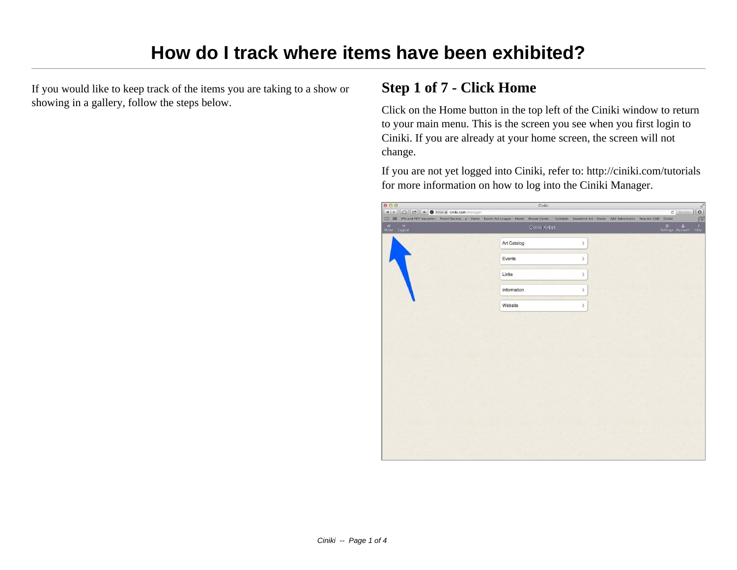If you would like to keep track of the items you are taking to a show or showing in a gallery, follow the steps below.

### **Step 1 of 7 - Click Home**

Click on the Home button in the top left of the Ciniki window to return to your main menu. This is the screen you see when you first login to Ciniki. If you are already at your home screen, the screen will not change.

If you are not yet logged into Ciniki, refer to: http://ciniki.com/tutorials for more information on how to log into the Ciniki Manager.

| 000                                                                                                                                 | Ciniki                                                                                                                                                   |  |                       | $\mathbb{R}^{\overline{\beta}}$             |
|-------------------------------------------------------------------------------------------------------------------------------------|----------------------------------------------------------------------------------------------------------------------------------------------------------|--|-----------------------|---------------------------------------------|
| $\boxed{\bigcirc}$ $\boxed{\bigcirc}$ $\boxed{\bigcirc}$ + $\bigcirc$ https $\hat{a}$ ciniki.com/manager<br>$\vert 4 \vert 5 \vert$ | I III IPN and PDT Variables Pastel Society  a - Home Eustis Art League - Home Dream Cymb - Cymbals Snowbird Art - Home A&E Adventures New tec CAD Ciniki |  | $c$ Reader            | $\boxed{\circ}$<br>$\sqrt{1 + \frac{1}{2}}$ |
| $\begin{tabular}{ll} $\displaystyle\bigwedge^{(k)}$ & $\displaystyle\bigcap^{(k)}$ \\ \end{tabular}$ Home $\quad$ Logout            | Ciniki Artist                                                                                                                                            |  | Settings Account Help |                                             |
|                                                                                                                                     | Art Catalog<br>$\rightarrow$                                                                                                                             |  |                       |                                             |
|                                                                                                                                     | Events<br>$\mathcal{E}$                                                                                                                                  |  |                       |                                             |
|                                                                                                                                     | Links<br>$\mathcal{E}$                                                                                                                                   |  |                       |                                             |
|                                                                                                                                     | Information<br>$\mathcal{P}$                                                                                                                             |  |                       |                                             |
|                                                                                                                                     | Website<br>$\left\langle \right\rangle$                                                                                                                  |  |                       |                                             |
|                                                                                                                                     |                                                                                                                                                          |  |                       |                                             |
|                                                                                                                                     |                                                                                                                                                          |  |                       |                                             |
|                                                                                                                                     |                                                                                                                                                          |  |                       |                                             |
|                                                                                                                                     |                                                                                                                                                          |  |                       |                                             |
|                                                                                                                                     |                                                                                                                                                          |  |                       |                                             |
|                                                                                                                                     |                                                                                                                                                          |  |                       |                                             |
|                                                                                                                                     |                                                                                                                                                          |  |                       |                                             |
|                                                                                                                                     |                                                                                                                                                          |  |                       |                                             |
|                                                                                                                                     |                                                                                                                                                          |  |                       |                                             |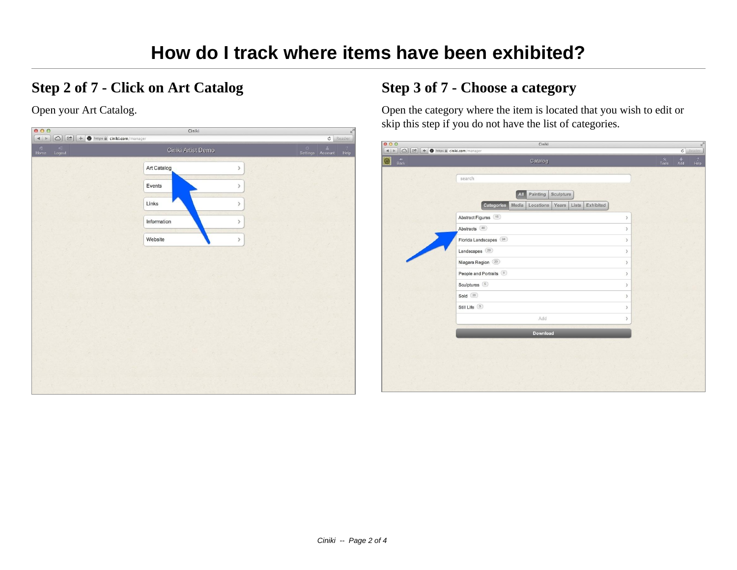### **Step 2 of 7 - Click on Art Catalog**

Open your Art Catalog.

| 000                                                                                                                                                                                                                                                                                                                                                                                                                                                                                                                                                                                          | Ciniki                                           |               |                         | $\frac{1}{\log n}$     |
|----------------------------------------------------------------------------------------------------------------------------------------------------------------------------------------------------------------------------------------------------------------------------------------------------------------------------------------------------------------------------------------------------------------------------------------------------------------------------------------------------------------------------------------------------------------------------------------------|--------------------------------------------------|---------------|-------------------------|------------------------|
| $\boxed{\bigcirc}$ $\boxed{\triangleright}$ $\boxed{\uparrow}$ $\boxed{\uparrow}$ https $\hat{a}$ ciniki.com/manager<br>$\begin{array}{c c c c} & \multicolumn{3}{c }{\phantom{1}} & \multicolumn{3}{c }{\phantom{1}}\\ \multicolumn{3}{c }{\phantom{1}} & \multicolumn{3}{c }{\phantom{1}} & \multicolumn{3}{c }{\phantom{1}}\\ \multicolumn{3}{c }{\phantom{1}} & \multicolumn{3}{c }{\phantom{1}} & \multicolumn{3}{c }{\phantom{1}}\\ \multicolumn{3}{c }{\phantom{1}} & \multicolumn{3}{c }{\phantom{1}} & \multicolumn{3}{c }{\phantom{1}}\\ \multicolumn{3}{c }{\phantom{1}} & \mult$ |                                                  |               | $\overline{\texttt{C}}$ | Reader                 |
| <b>Home</b><br>$\begin{array}{c}\n\hline\n\end{array}$ Logout                                                                                                                                                                                                                                                                                                                                                                                                                                                                                                                                | Ciniki Artist Demo                               | ः<br>Settings | $\mathbf{a}$<br>Account | $\overline{2}$<br>Help |
|                                                                                                                                                                                                                                                                                                                                                                                                                                                                                                                                                                                              | Art Catalog<br>$\left\langle \cdot\right\rangle$ |               |                         |                        |
|                                                                                                                                                                                                                                                                                                                                                                                                                                                                                                                                                                                              | Events<br>$\mathcal{P}$                          |               |                         |                        |
|                                                                                                                                                                                                                                                                                                                                                                                                                                                                                                                                                                                              | Links<br>ÿ                                       |               |                         |                        |
|                                                                                                                                                                                                                                                                                                                                                                                                                                                                                                                                                                                              | Information<br>$\mathcal{P}$                     |               |                         |                        |
|                                                                                                                                                                                                                                                                                                                                                                                                                                                                                                                                                                                              | Website<br>$\,$                                  |               |                         |                        |
|                                                                                                                                                                                                                                                                                                                                                                                                                                                                                                                                                                                              |                                                  |               |                         |                        |
|                                                                                                                                                                                                                                                                                                                                                                                                                                                                                                                                                                                              |                                                  |               |                         |                        |
|                                                                                                                                                                                                                                                                                                                                                                                                                                                                                                                                                                                              |                                                  |               |                         |                        |
|                                                                                                                                                                                                                                                                                                                                                                                                                                                                                                                                                                                              |                                                  |               |                         |                        |
|                                                                                                                                                                                                                                                                                                                                                                                                                                                                                                                                                                                              |                                                  |               |                         |                        |
|                                                                                                                                                                                                                                                                                                                                                                                                                                                                                                                                                                                              |                                                  |               |                         |                        |
|                                                                                                                                                                                                                                                                                                                                                                                                                                                                                                                                                                                              |                                                  |               |                         |                        |

# **Step 3 of 7 - Choose a category**

Open the category where the item is located that you wish to edit or skip this step if you do not have the list of categories.

|                                   | Catalog                                                         |                              | $rac{\mathbf{x}}{\mathsf{Tools}}$ | $^{+}_{Add}$ | $\overline{?}$ |
|-----------------------------------|-----------------------------------------------------------------|------------------------------|-----------------------------------|--------------|----------------|
| $rac{\triangleleft}{\text{Back}}$ |                                                                 |                              |                                   |              | Help           |
|                                   | search                                                          |                              |                                   |              |                |
|                                   |                                                                 |                              |                                   |              |                |
|                                   | Painting<br>Sculpture<br>All                                    |                              |                                   |              |                |
|                                   | Categories<br>Years<br>Exhibited<br>Media<br>Locations<br>Lists |                              |                                   |              |                |
|                                   | Abstract Figures (16)                                           | $\mathcal{P}$                |                                   |              |                |
|                                   | Abstracts (46)                                                  | $\,$                         |                                   |              |                |
|                                   | Florida Landscapes (34)                                         | $\rightarrow$                |                                   |              |                |
|                                   | Landscapes <sup>(29)</sup>                                      | $\mathcal{P}$                |                                   |              |                |
|                                   | Niagara Region (20)                                             | $\mathcal{P}$                |                                   |              |                |
|                                   | People and Portraits (5)                                        | $\mathcal{P}$                |                                   |              |                |
|                                   | Sculptures 5                                                    | $\mathcal{P}$                |                                   |              |                |
|                                   | Sold (39)                                                       | $\rightarrow$                |                                   |              |                |
|                                   | Still Life 3                                                    | $\left\langle \right\rangle$ |                                   |              |                |
|                                   | Add                                                             | $\mathcal{P}$                |                                   |              |                |
|                                   |                                                                 |                              |                                   |              |                |
|                                   | Download                                                        |                              |                                   |              |                |
|                                   |                                                                 |                              |                                   |              |                |
|                                   |                                                                 |                              |                                   |              |                |
|                                   |                                                                 |                              |                                   |              |                |
|                                   |                                                                 |                              |                                   |              |                |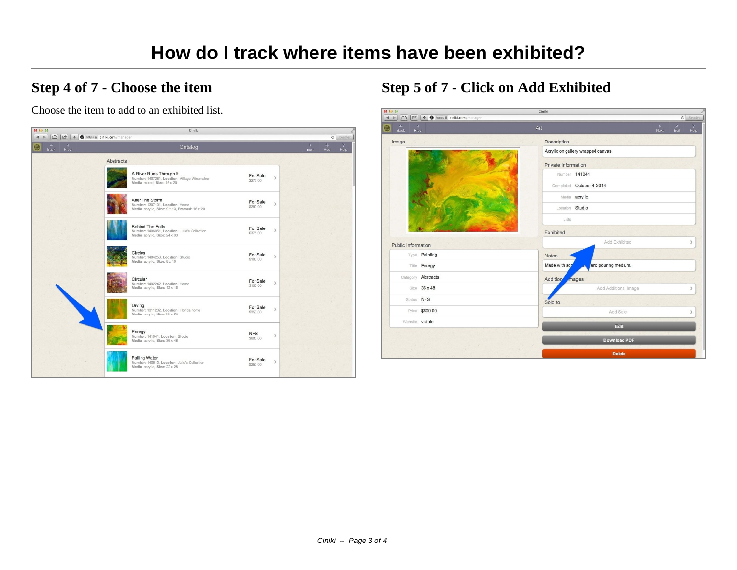## **Step 4 of 7 - Choose the item**

Choose the item to add to an exhibited list.



## **Step 5 of 7 - Click on Add Exhibited**

| 000<br>Ciniki<br>$\Omega$<br><sup>2</sup> + + ttps a ciniki.com/manager<br>$\begin{array}{c c c c} A & & \rightarrow \end{array}$ |                           |                                                         |                               |                                     | $\overline{\epsilon}$<br>$c$ Reader |  |  |
|-----------------------------------------------------------------------------------------------------------------------------------|---------------------------|---------------------------------------------------------|-------------------------------|-------------------------------------|-------------------------------------|--|--|
| 0<br>٠<br>Back                                                                                                                    | $\left($<br>Art<br>Prev   |                                                         | $\blacktriangleright$<br>Next | $\frac{\mathscr{E}}{\mathsf{Edit}}$ | $\overline{?}$<br>Help              |  |  |
| Image                                                                                                                             |                           | Description                                             |                               |                                     |                                     |  |  |
|                                                                                                                                   |                           | Acrylic on gallery wrapped canvas.                      |                               |                                     |                                     |  |  |
|                                                                                                                                   |                           | Private Information                                     |                               |                                     |                                     |  |  |
|                                                                                                                                   |                           | Number 141041                                           |                               |                                     |                                     |  |  |
|                                                                                                                                   |                           | Completed October 4, 2014                               |                               |                                     |                                     |  |  |
|                                                                                                                                   |                           | Media acrylic                                           |                               |                                     |                                     |  |  |
|                                                                                                                                   |                           | Location Studio                                         |                               |                                     |                                     |  |  |
|                                                                                                                                   |                           | Lists                                                   |                               |                                     |                                     |  |  |
|                                                                                                                                   |                           | Exhibited                                               |                               |                                     |                                     |  |  |
| <b>Public Information</b>                                                                                                         |                           | Add Exhibited                                           |                               |                                     | $\mathcal{F}$                       |  |  |
|                                                                                                                                   | Type Painting             | Notes                                                   |                               |                                     |                                     |  |  |
|                                                                                                                                   | Title <b>Energy</b>       | Made with acr<br>and pouring medium.<br>$\overline{AB}$ |                               |                                     |                                     |  |  |
|                                                                                                                                   | Category <b>Abstracts</b> | <b>Addition</b><br>mages                                |                               |                                     |                                     |  |  |
|                                                                                                                                   | Size 36 x 48              | Add Additional Image                                    |                               |                                     | $\mathcal{P}$                       |  |  |
| Status NFS                                                                                                                        |                           | Sold to                                                 |                               |                                     |                                     |  |  |
|                                                                                                                                   | Price \$600.00            | Add Sale                                                |                               |                                     | $\mathcal{F}$                       |  |  |
| Website visible                                                                                                                   |                           | Edit                                                    |                               |                                     |                                     |  |  |
|                                                                                                                                   |                           |                                                         |                               |                                     |                                     |  |  |
|                                                                                                                                   |                           | <b>Download PDF</b>                                     |                               |                                     |                                     |  |  |
|                                                                                                                                   |                           | <b>Delete</b>                                           |                               |                                     |                                     |  |  |